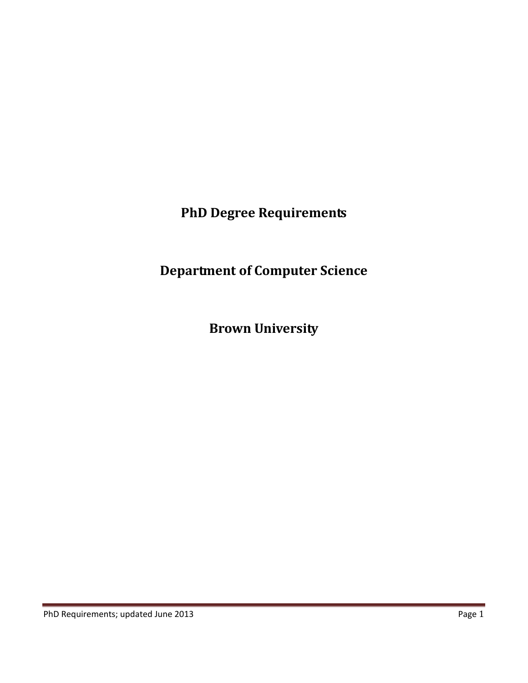**PhD Degree Requirements**

**Department of Computer Science**

**Brown University**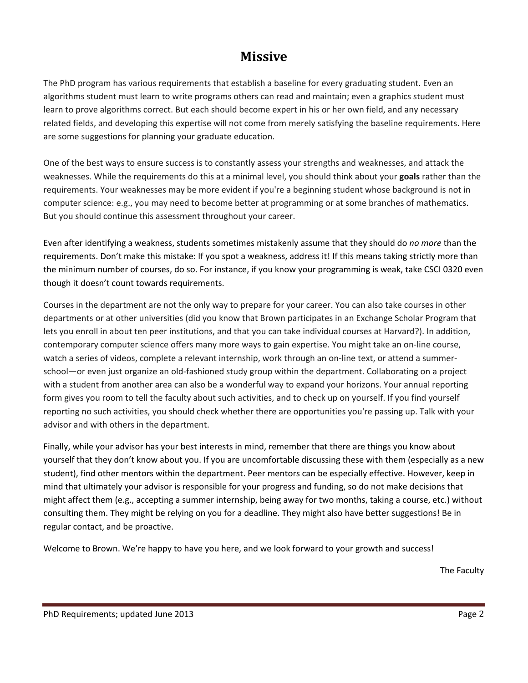# **Missive**

The PhD program has various requirements that establish a baseline for every graduating student. Even an algorithms student must learn to write programs others can read and maintain; even a graphics student must learn to prove algorithms correct. But each should become expert in his or her own field, and any necessary related fields, and developing this expertise will not come from merely satisfying the baseline requirements. Here are some suggestions for planning your graduate education.

One of the best ways to ensure success is to constantly assess your strengths and weaknesses, and attack the weaknesses. While the requirements do this at a minimal level, you should think about your **goals** rather than the requirements. Your weaknesses may be more evident if you're a beginning student whose background is not in computer science: e.g., you may need to become better at programming or at some branches of mathematics. But you should continue this assessment throughout your career.

Even after identifying a weakness, students sometimes mistakenly assume that they should do *no more* than the requirements. Don't make this mistake: If you spot a weakness, address it! If this means taking strictly more than the minimum number of courses, do so. For instance, if you know your programming is weak, take CSCI 0320 even though it doesn't count towards requirements.

Courses in the department are not the only way to prepare for your career. You can also take courses in other departments or at other universities (did you know that Brown participates in an Exchange Scholar Program that lets you enroll in about ten peer institutions, and that you can take individual courses at Harvard?). In addition, contemporary computer science offers many more ways to gain expertise. You might take an on-line course, watch a series of videos, complete a relevant internship, work through an on-line text, or attend a summerschool—or even just organize an old-fashioned study group within the department. Collaborating on a project with a student from another area can also be a wonderful way to expand your horizons. Your annual reporting form gives you room to tell the faculty about such activities, and to check up on yourself. If you find yourself reporting no such activities, you should check whether there are opportunities you're passing up. Talk with your advisor and with others in the department.

Finally, while your advisor has your best interests in mind, remember that there are things you know about yourself that they don't know about you. If you are uncomfortable discussing these with them (especially as a new student), find other mentors within the department. Peer mentors can be especially effective. However, keep in mind that ultimately your advisor is responsible for your progress and funding, so do not make decisions that might affect them (e.g., accepting a summer internship, being away for two months, taking a course, etc.) without consulting them. They might be relying on you for a deadline. They might also have better suggestions! Be in regular contact, and be proactive.

Welcome to Brown. We're happy to have you here, and we look forward to your growth and success!

The Faculty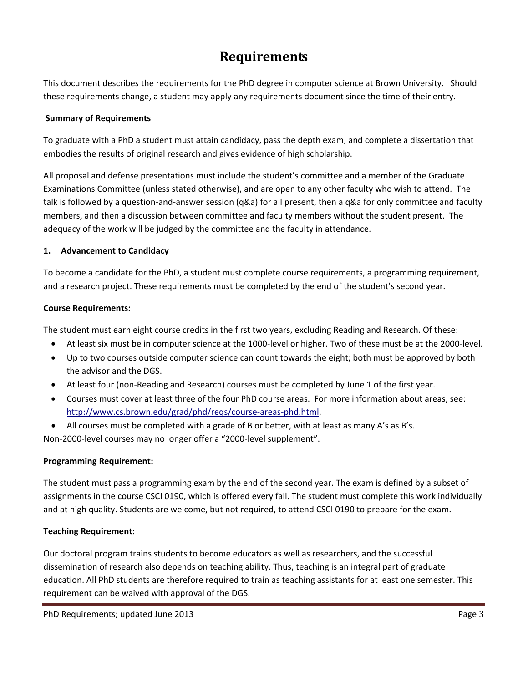# **Requirements**

This document describes the requirements for the PhD degree in computer science at Brown University. Should these requirements change, a student may apply any requirements document since the time of their entry.

## **Summary of Requirements**

To graduate with a PhD a student must attain candidacy, pass the depth exam, and complete a dissertation that embodies the results of original research and gives evidence of high scholarship.

All proposal and defense presentations must include the student's committee and a member of the Graduate Examinations Committee (unless stated otherwise), and are open to any other faculty who wish to attend. The talk is followed by a question-and-answer session (q&a) for all present, then a q&a for only committee and faculty members, and then a discussion between committee and faculty members without the student present. The adequacy of the work will be judged by the committee and the faculty in attendance.

## **1. Advancement to Candidacy**

To become a candidate for the PhD, a student must complete course requirements, a programming requirement, and a research project. These requirements must be completed by the end of the student's second year.

## **Course Requirements:**

The student must earn eight course credits in the first two years, excluding Reading and Research. Of these:

- At least six must be in computer science at the 1000-level or higher. Two of these must be at the 2000-level.
- Up to two courses outside computer science can count towards the eight; both must be approved by both the advisor and the DGS.
- At least four (non-Reading and Research) courses must be completed by June 1 of the first year.
- Courses must cover at least three of the four PhD course areas. For more information about areas, see: [http://www.cs.brown.edu/grad/phd/reqs/course-areas-phd.html.](http://www.cs.brown.edu/grad/phd/reqs/course-areas-phd.html)
- All courses must be completed with a grade of B or better, with at least as many A's as B's.

Non-2000-level courses may no longer offer a "2000-level supplement".

# **Programming Requirement:**

The student must pass a programming exam by the end of the second year. The exam is defined by a subset of assignments in the course CSCI 0190, which is offered every fall. The student must complete this work individually and at high quality. Students are welcome, but not required, to attend CSCI 0190 to prepare for the exam.

# **Teaching Requirement:**

Our doctoral program trains students to become educators as well as researchers, and the successful dissemination of research also depends on teaching ability. Thus, teaching is an integral part of graduate education. All PhD students are therefore required to train as teaching assistants for at least one semester. This requirement can be waived with approval of the DGS.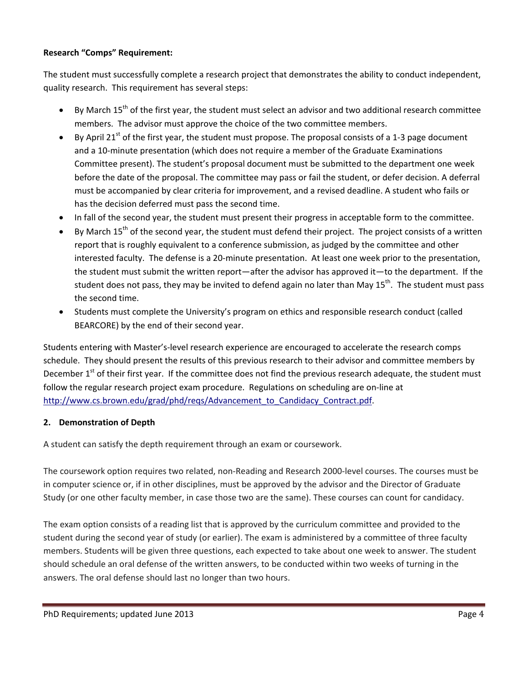# **Research "Comps" Requirement:**

The student must successfully complete a research project that demonstrates the ability to conduct independent, quality research. This requirement has several steps:

- By March 15<sup>th</sup> of the first year, the student must select an advisor and two additional research committee members. The advisor must approve the choice of the two committee members.
- By April 21<sup>st</sup> of the first year, the student must propose. The proposal consists of a 1-3 page document and a 10-minute presentation (which does not require a member of the Graduate Examinations Committee present). The student's proposal document must be submitted to the department one week before the date of the proposal. The committee may pass or fail the student, or defer decision. A deferral must be accompanied by clear criteria for improvement, and a revised deadline. A student who fails or has the decision deferred must pass the second time.
- In fall of the second year, the student must present their progress in acceptable form to the committee.
- By March  $15<sup>th</sup>$  of the second year, the student must defend their project. The project consists of a written report that is roughly equivalent to a conference submission, as judged by the committee and other interested faculty. The defense is a 20-minute presentation. At least one week prior to the presentation, the student must submit the written report—after the advisor has approved it—to the department. If the student does not pass, they may be invited to defend again no later than May 15<sup>th</sup>. The student must pass the second time.
- Students must complete the University's program on ethics and responsible research conduct (called BEARCORE) by the end of their second year.

Students entering with Master's-level research experience are encouraged to accelerate the research comps schedule. They should present the results of this previous research to their advisor and committee members by December 1<sup>st</sup> of their first year. If the committee does not find the previous research adequate, the student must follow the regular research project exam procedure. Regulations on scheduling are on-line at [http://www.cs.brown.edu/grad/phd/reqs/Advancement\\_to\\_Candidacy\\_Contract.pdf.](http://www.cs.brown.edu/grad/phd/reqs/Advancement_to_Candidacy_Contract.pdf)

### **2. Demonstration of Depth**

A student can satisfy the depth requirement through an exam or coursework.

The coursework option requires two related, non-Reading and Research 2000-level courses. The courses must be in computer science or, if in other disciplines, must be approved by the advisor and the Director of Graduate Study (or one other faculty member, in case those two are the same). These courses can count for candidacy.

The exam option consists of a reading list that is approved by the curriculum committee and provided to the student during the second year of study (or earlier). The exam is administered by a committee of three faculty members. Students will be given three questions, each expected to take about one week to answer. The student should schedule an oral defense of the written answers, to be conducted within two weeks of turning in the answers. The oral defense should last no longer than two hours.